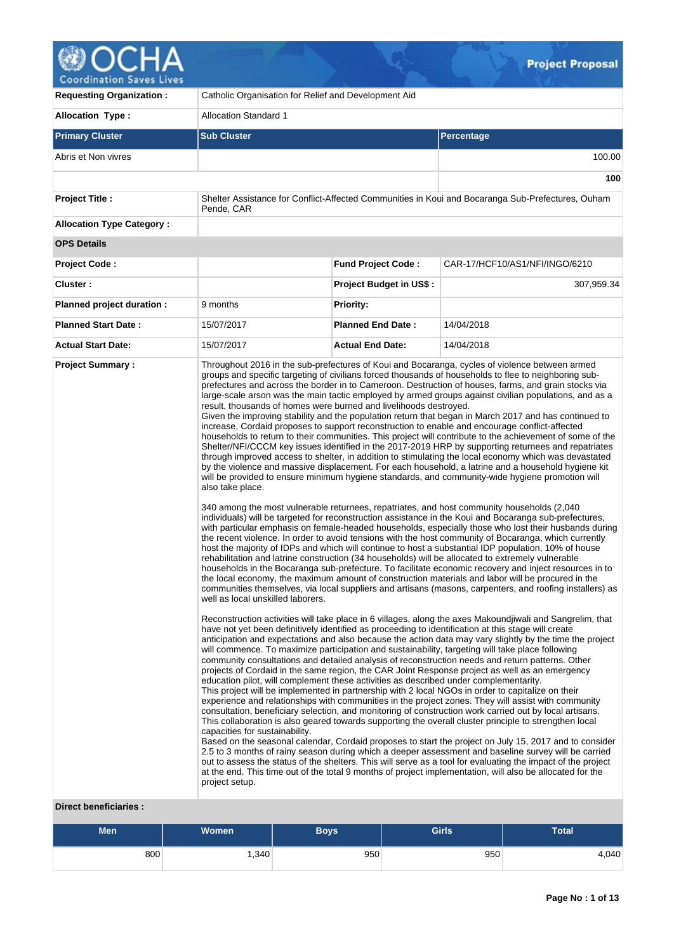

| <b>Requesting Organization:</b>  | Catholic Organisation for Relief and Development Aid                                                                                                                                                                                                                                                                                                                                                                                                                                                                                                                                                                                                                                                                                                                                                                                                                                                                                                                                                                                                                                                                                                                                                                                                                                                                                                                                                                                                                                                                                                                                                                                                                                                                                                                                                                                                                                                                                                                                                                                                                                                                                                                                                                                                                                                                                                                                                                                                                                                                                                                                                                                                                                                                                                                                                                                                                                                                                                                                                                                                                                                                                                                                                                                                                                                                                                                                                                                                                                                                                                                                                                                                                                                                                                                                                                |                                |                                                                                                   |  |  |  |
|----------------------------------|---------------------------------------------------------------------------------------------------------------------------------------------------------------------------------------------------------------------------------------------------------------------------------------------------------------------------------------------------------------------------------------------------------------------------------------------------------------------------------------------------------------------------------------------------------------------------------------------------------------------------------------------------------------------------------------------------------------------------------------------------------------------------------------------------------------------------------------------------------------------------------------------------------------------------------------------------------------------------------------------------------------------------------------------------------------------------------------------------------------------------------------------------------------------------------------------------------------------------------------------------------------------------------------------------------------------------------------------------------------------------------------------------------------------------------------------------------------------------------------------------------------------------------------------------------------------------------------------------------------------------------------------------------------------------------------------------------------------------------------------------------------------------------------------------------------------------------------------------------------------------------------------------------------------------------------------------------------------------------------------------------------------------------------------------------------------------------------------------------------------------------------------------------------------------------------------------------------------------------------------------------------------------------------------------------------------------------------------------------------------------------------------------------------------------------------------------------------------------------------------------------------------------------------------------------------------------------------------------------------------------------------------------------------------------------------------------------------------------------------------------------------------------------------------------------------------------------------------------------------------------------------------------------------------------------------------------------------------------------------------------------------------------------------------------------------------------------------------------------------------------------------------------------------------------------------------------------------------------------------------------------------------------------------------------------------------------------------------------------------------------------------------------------------------------------------------------------------------------------------------------------------------------------------------------------------------------------------------------------------------------------------------------------------------------------------------------------------------------------------------------------------------------------------------------------------------|--------------------------------|---------------------------------------------------------------------------------------------------|--|--|--|
| <b>Allocation Type:</b>          | <b>Allocation Standard 1</b>                                                                                                                                                                                                                                                                                                                                                                                                                                                                                                                                                                                                                                                                                                                                                                                                                                                                                                                                                                                                                                                                                                                                                                                                                                                                                                                                                                                                                                                                                                                                                                                                                                                                                                                                                                                                                                                                                                                                                                                                                                                                                                                                                                                                                                                                                                                                                                                                                                                                                                                                                                                                                                                                                                                                                                                                                                                                                                                                                                                                                                                                                                                                                                                                                                                                                                                                                                                                                                                                                                                                                                                                                                                                                                                                                                                        |                                |                                                                                                   |  |  |  |
| <b>Primary Cluster</b>           | <b>Sub Cluster</b>                                                                                                                                                                                                                                                                                                                                                                                                                                                                                                                                                                                                                                                                                                                                                                                                                                                                                                                                                                                                                                                                                                                                                                                                                                                                                                                                                                                                                                                                                                                                                                                                                                                                                                                                                                                                                                                                                                                                                                                                                                                                                                                                                                                                                                                                                                                                                                                                                                                                                                                                                                                                                                                                                                                                                                                                                                                                                                                                                                                                                                                                                                                                                                                                                                                                                                                                                                                                                                                                                                                                                                                                                                                                                                                                                                                                  |                                | Percentage                                                                                        |  |  |  |
| Abris et Non vivres              |                                                                                                                                                                                                                                                                                                                                                                                                                                                                                                                                                                                                                                                                                                                                                                                                                                                                                                                                                                                                                                                                                                                                                                                                                                                                                                                                                                                                                                                                                                                                                                                                                                                                                                                                                                                                                                                                                                                                                                                                                                                                                                                                                                                                                                                                                                                                                                                                                                                                                                                                                                                                                                                                                                                                                                                                                                                                                                                                                                                                                                                                                                                                                                                                                                                                                                                                                                                                                                                                                                                                                                                                                                                                                                                                                                                                                     |                                | 100.00                                                                                            |  |  |  |
|                                  |                                                                                                                                                                                                                                                                                                                                                                                                                                                                                                                                                                                                                                                                                                                                                                                                                                                                                                                                                                                                                                                                                                                                                                                                                                                                                                                                                                                                                                                                                                                                                                                                                                                                                                                                                                                                                                                                                                                                                                                                                                                                                                                                                                                                                                                                                                                                                                                                                                                                                                                                                                                                                                                                                                                                                                                                                                                                                                                                                                                                                                                                                                                                                                                                                                                                                                                                                                                                                                                                                                                                                                                                                                                                                                                                                                                                                     |                                | 100                                                                                               |  |  |  |
| <b>Project Title:</b>            | Pende, CAR                                                                                                                                                                                                                                                                                                                                                                                                                                                                                                                                                                                                                                                                                                                                                                                                                                                                                                                                                                                                                                                                                                                                                                                                                                                                                                                                                                                                                                                                                                                                                                                                                                                                                                                                                                                                                                                                                                                                                                                                                                                                                                                                                                                                                                                                                                                                                                                                                                                                                                                                                                                                                                                                                                                                                                                                                                                                                                                                                                                                                                                                                                                                                                                                                                                                                                                                                                                                                                                                                                                                                                                                                                                                                                                                                                                                          |                                | Shelter Assistance for Conflict-Affected Communities in Koui and Bocaranga Sub-Prefectures, Ouham |  |  |  |
| <b>Allocation Type Category:</b> |                                                                                                                                                                                                                                                                                                                                                                                                                                                                                                                                                                                                                                                                                                                                                                                                                                                                                                                                                                                                                                                                                                                                                                                                                                                                                                                                                                                                                                                                                                                                                                                                                                                                                                                                                                                                                                                                                                                                                                                                                                                                                                                                                                                                                                                                                                                                                                                                                                                                                                                                                                                                                                                                                                                                                                                                                                                                                                                                                                                                                                                                                                                                                                                                                                                                                                                                                                                                                                                                                                                                                                                                                                                                                                                                                                                                                     |                                |                                                                                                   |  |  |  |
| <b>OPS Details</b>               |                                                                                                                                                                                                                                                                                                                                                                                                                                                                                                                                                                                                                                                                                                                                                                                                                                                                                                                                                                                                                                                                                                                                                                                                                                                                                                                                                                                                                                                                                                                                                                                                                                                                                                                                                                                                                                                                                                                                                                                                                                                                                                                                                                                                                                                                                                                                                                                                                                                                                                                                                                                                                                                                                                                                                                                                                                                                                                                                                                                                                                                                                                                                                                                                                                                                                                                                                                                                                                                                                                                                                                                                                                                                                                                                                                                                                     |                                |                                                                                                   |  |  |  |
| <b>Project Code:</b>             |                                                                                                                                                                                                                                                                                                                                                                                                                                                                                                                                                                                                                                                                                                                                                                                                                                                                                                                                                                                                                                                                                                                                                                                                                                                                                                                                                                                                                                                                                                                                                                                                                                                                                                                                                                                                                                                                                                                                                                                                                                                                                                                                                                                                                                                                                                                                                                                                                                                                                                                                                                                                                                                                                                                                                                                                                                                                                                                                                                                                                                                                                                                                                                                                                                                                                                                                                                                                                                                                                                                                                                                                                                                                                                                                                                                                                     | <b>Fund Project Code:</b>      | CAR-17/HCF10/AS1/NFI/INGO/6210                                                                    |  |  |  |
| Cluster:                         |                                                                                                                                                                                                                                                                                                                                                                                                                                                                                                                                                                                                                                                                                                                                                                                                                                                                                                                                                                                                                                                                                                                                                                                                                                                                                                                                                                                                                                                                                                                                                                                                                                                                                                                                                                                                                                                                                                                                                                                                                                                                                                                                                                                                                                                                                                                                                                                                                                                                                                                                                                                                                                                                                                                                                                                                                                                                                                                                                                                                                                                                                                                                                                                                                                                                                                                                                                                                                                                                                                                                                                                                                                                                                                                                                                                                                     | <b>Project Budget in US\$:</b> | 307,959.34                                                                                        |  |  |  |
| Planned project duration :       | 9 months                                                                                                                                                                                                                                                                                                                                                                                                                                                                                                                                                                                                                                                                                                                                                                                                                                                                                                                                                                                                                                                                                                                                                                                                                                                                                                                                                                                                                                                                                                                                                                                                                                                                                                                                                                                                                                                                                                                                                                                                                                                                                                                                                                                                                                                                                                                                                                                                                                                                                                                                                                                                                                                                                                                                                                                                                                                                                                                                                                                                                                                                                                                                                                                                                                                                                                                                                                                                                                                                                                                                                                                                                                                                                                                                                                                                            | <b>Priority:</b>               |                                                                                                   |  |  |  |
| <b>Planned Start Date:</b>       | 15/07/2017                                                                                                                                                                                                                                                                                                                                                                                                                                                                                                                                                                                                                                                                                                                                                                                                                                                                                                                                                                                                                                                                                                                                                                                                                                                                                                                                                                                                                                                                                                                                                                                                                                                                                                                                                                                                                                                                                                                                                                                                                                                                                                                                                                                                                                                                                                                                                                                                                                                                                                                                                                                                                                                                                                                                                                                                                                                                                                                                                                                                                                                                                                                                                                                                                                                                                                                                                                                                                                                                                                                                                                                                                                                                                                                                                                                                          | <b>Planned End Date:</b>       | 14/04/2018                                                                                        |  |  |  |
| <b>Actual Start Date:</b>        | 15/07/2017                                                                                                                                                                                                                                                                                                                                                                                                                                                                                                                                                                                                                                                                                                                                                                                                                                                                                                                                                                                                                                                                                                                                                                                                                                                                                                                                                                                                                                                                                                                                                                                                                                                                                                                                                                                                                                                                                                                                                                                                                                                                                                                                                                                                                                                                                                                                                                                                                                                                                                                                                                                                                                                                                                                                                                                                                                                                                                                                                                                                                                                                                                                                                                                                                                                                                                                                                                                                                                                                                                                                                                                                                                                                                                                                                                                                          | <b>Actual End Date:</b>        | 14/04/2018                                                                                        |  |  |  |
| <b>Project Summary:</b>          | Throughout 2016 in the sub-prefectures of Koui and Bocaranga, cycles of violence between armed<br>groups and specific targeting of civilians forced thousands of households to flee to neighboring sub-<br>prefectures and across the border in to Cameroon. Destruction of houses, farms, and grain stocks via<br>large-scale arson was the main tactic employed by armed groups against civilian populations, and as a<br>result, thousands of homes were burned and livelihoods destroyed.<br>Given the improving stability and the population return that began in March 2017 and has continued to<br>increase, Cordaid proposes to support reconstruction to enable and encourage conflict-affected<br>households to return to their communities. This project will contribute to the achievement of some of the<br>Shelter/NFI/CCCM key issues identified in the 2017-2019 HRP by supporting returnees and repatriates<br>through improved access to shelter, in addition to stimulating the local economy which was devastated<br>by the violence and massive displacement. For each household, a latrine and a household hygiene kit<br>will be provided to ensure minimum hygiene standards, and community-wide hygiene promotion will<br>also take place.<br>340 among the most vulnerable returnees, repatriates, and host community households (2,040)<br>individuals) will be targeted for reconstruction assistance in the Koui and Bocaranga sub-prefectures,<br>with particular emphasis on female-headed households, especially those who lost their husbands during<br>the recent violence. In order to avoid tensions with the host community of Bocaranga, which currently<br>host the majority of IDPs and which will continue to host a substantial IDP population, 10% of house<br>rehabilitation and latrine construction (34 households) will be allocated to extremely vulnerable<br>households in the Bocaranga sub-prefecture. To facilitate economic recovery and inject resources in to<br>the local economy, the maximum amount of construction materials and labor will be procured in the<br>communities themselves, via local suppliers and artisans (masons, carpenters, and roofing installers) as<br>well as local unskilled laborers.<br>Reconstruction activities will take place in 6 villages, along the axes Makoundjiwali and Sangrelim, that<br>have not yet been definitively identified as proceeding to identification at this stage will create<br>anticipation and expectations and also because the action data may vary slightly by the time the project<br>will commence. To maximize participation and sustainability, targeting will take place following<br>community consultations and detailed analysis of reconstruction needs and return patterns. Other<br>projects of Cordaid in the same region, the CAR Joint Response project as well as an emergency<br>education pilot, will complement these activities as described under complementarity.<br>This project will be implemented in partnership with 2 local NGOs in order to capitalize on their<br>experience and relationships with communities in the project zones. They will assist with community<br>consultation, beneficiary selection, and monitoring of construction work carried out by local artisans.<br>This collaboration is also geared towards supporting the overall cluster principle to strengthen local<br>capacities for sustainability.<br>Based on the seasonal calendar, Cordaid proposes to start the project on July 15, 2017 and to consider<br>2.5 to 3 months of rainy season during which a deeper assessment and baseline survey will be carried<br>out to assess the status of the shelters. This will serve as a tool for evaluating the impact of the project |                                |                                                                                                   |  |  |  |

# **Direct beneficiaries :**

| Men | <b>Women</b> | Boys' | <b>Girls</b> | Total |
|-----|--------------|-------|--------------|-------|
| 800 | .340         | 950   | 950          | 4,040 |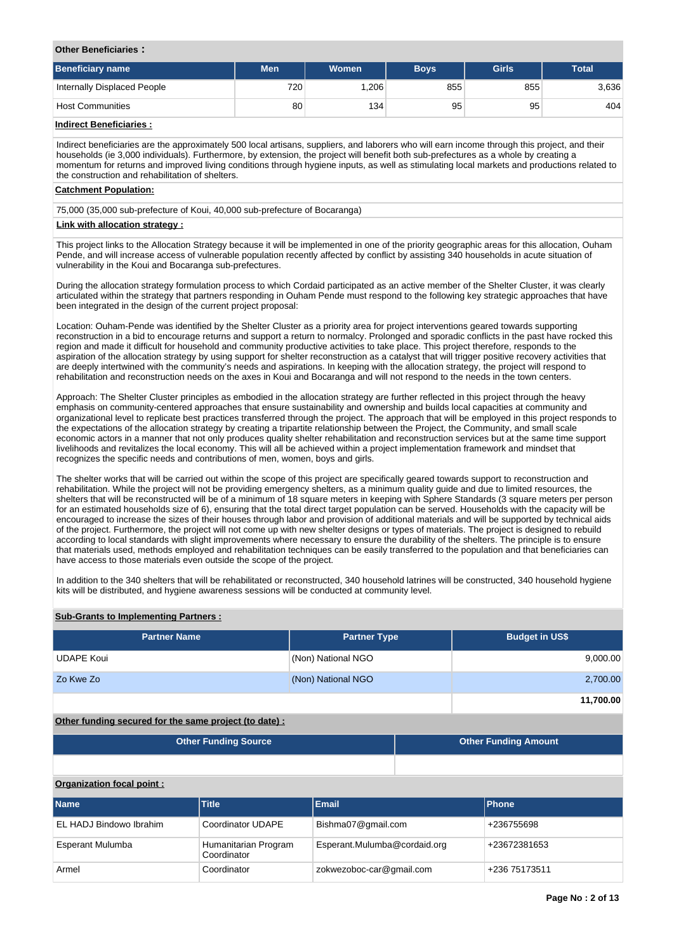### **Other Beneficiaries :**

| Beneficiary name            | Men              | <b>Women</b> | <b>Boys</b> | <b>Girls</b> | <b>Total</b> |
|-----------------------------|------------------|--------------|-------------|--------------|--------------|
| Internally Displaced People | 720 <sub>1</sub> | .206         | 855         | 855          | 3,636        |
| Host Communities            | 80               | 134          | 95          | 95           | 404          |

# **Indirect Beneficiaries :**

Indirect beneficiaries are the approximately 500 local artisans, suppliers, and laborers who will earn income through this project, and their households (ie 3,000 individuals). Furthermore, by extension, the project will benefit both sub-prefectures as a whole by creating a momentum for returns and improved living conditions through hygiene inputs, as well as stimulating local markets and productions related to the construction and rehabilitation of shelters.

#### **Catchment Population:**

75,000 (35,000 sub-prefecture of Koui, 40,000 sub-prefecture of Bocaranga)

### **Link with allocation strategy :**

This project links to the Allocation Strategy because it will be implemented in one of the priority geographic areas for this allocation, Ouham Pende, and will increase access of vulnerable population recently affected by conflict by assisting 340 households in acute situation of vulnerability in the Koui and Bocaranga sub-prefectures.

During the allocation strategy formulation process to which Cordaid participated as an active member of the Shelter Cluster, it was clearly articulated within the strategy that partners responding in Ouham Pende must respond to the following key strategic approaches that have been integrated in the design of the current project proposal:

Location: Ouham-Pende was identified by the Shelter Cluster as a priority area for project interventions geared towards supporting reconstruction in a bid to encourage returns and support a return to normalcy. Prolonged and sporadic conflicts in the past have rocked this region and made it difficult for household and community productive activities to take place. This project therefore, responds to the aspiration of the allocation strategy by using support for shelter reconstruction as a catalyst that will trigger positive recovery activities that are deeply intertwined with the community's needs and aspirations. In keeping with the allocation strategy, the project will respond to rehabilitation and reconstruction needs on the axes in Koui and Bocaranga and will not respond to the needs in the town centers.

Approach: The Shelter Cluster principles as embodied in the allocation strategy are further reflected in this project through the heavy emphasis on community-centered approaches that ensure sustainability and ownership and builds local capacities at community and organizational level to replicate best practices transferred through the project. The approach that will be employed in this project responds to the expectations of the allocation strategy by creating a tripartite relationship between the Project, the Community, and small scale economic actors in a manner that not only produces quality shelter rehabilitation and reconstruction services but at the same time support livelihoods and revitalizes the local economy. This will all be achieved within a project implementation framework and mindset that recognizes the specific needs and contributions of men, women, boys and girls.

The shelter works that will be carried out within the scope of this project are specifically geared towards support to reconstruction and rehabilitation. While the project will not be providing emergency shelters, as a minimum quality guide and due to limited resources, the shelters that will be reconstructed will be of a minimum of 18 square meters in keeping with Sphere Standards (3 square meters per person for an estimated households size of 6), ensuring that the total direct target population can be served. Households with the capacity will be encouraged to increase the sizes of their houses through labor and provision of additional materials and will be supported by technical aids of the project. Furthermore, the project will not come up with new shelter designs or types of materials. The project is designed to rebuild according to local standards with slight improvements where necessary to ensure the durability of the shelters. The principle is to ensure that materials used, methods employed and rehabilitation techniques can be easily transferred to the population and that beneficiaries can have access to those materials even outside the scope of the project.

In addition to the 340 shelters that will be rehabilitated or reconstructed, 340 household latrines will be constructed, 340 household hygiene kits will be distributed, and hygiene awareness sessions will be conducted at community level.

### **Sub-Grants to Implementing Partners :**

| <b>Partner Name</b> | <b>Partner Type</b> | <b>Budget in US\$</b> |
|---------------------|---------------------|-----------------------|
| <b>UDAPE Koui</b>   | (Non) National NGO  | 9,000.00              |
| Zo Kwe Zo           | (Non) National NGO  | 2,700.00              |
|                     |                     | 11,700.00             |

# **Other funding secured for the same project (to date) :**

| <b>Other Funding Source</b> | <b>Other Funding Amount</b> |
|-----------------------------|-----------------------------|
|                             |                             |

## **Organization focal point :**

| <b>Name</b>             | <b>Title</b>                        | <b>Email</b>                 | <b>Phone</b>  |
|-------------------------|-------------------------------------|------------------------------|---------------|
| EL HADJ Bindowo Ibrahim | Coordinator UDAPE                   | Bishma07@gmail.com           | +236755698    |
| Esperant Mulumba        | Humanitarian Program<br>Coordinator | Esperant.Mulumba@cordaid.org | +23672381653  |
| Armel                   | Coordinator                         | zokwezoboc-car@gmail.com     | +236 75173511 |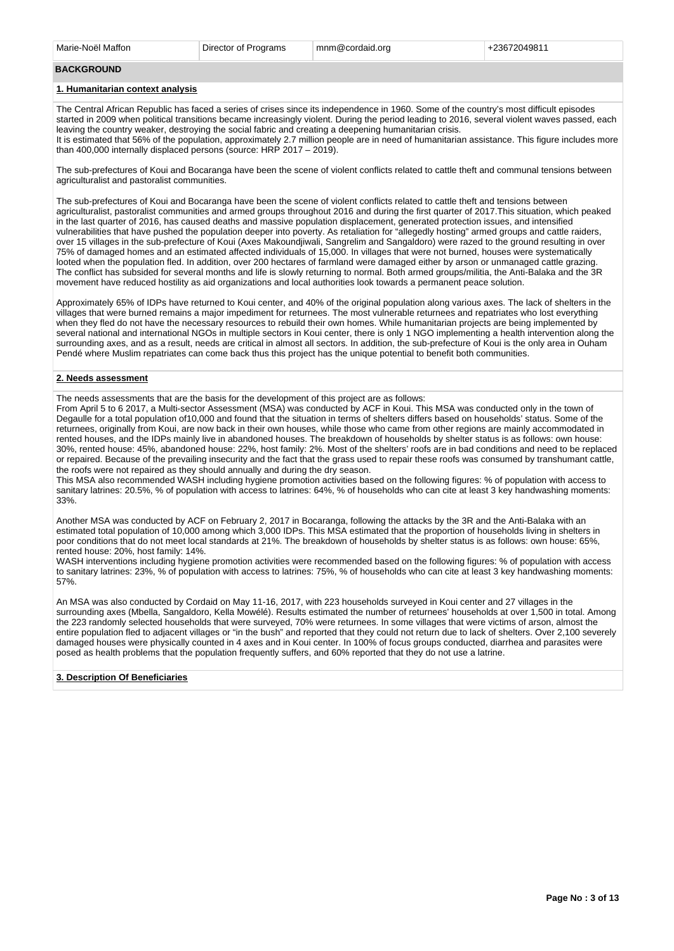#### **BACKGROUND**

#### **1. Humanitarian context analysis**

The Central African Republic has faced a series of crises since its independence in 1960. Some of the country's most difficult episodes started in 2009 when political transitions became increasingly violent. During the period leading to 2016, several violent waves passed, each leaving the country weaker, destroying the social fabric and creating a deepening humanitarian crisis. It is estimated that 56% of the population, approximately 2.7 million people are in need of humanitarian assistance. This figure includes more than 400,000 internally displaced persons (source: HRP 2017 – 2019).

The sub-prefectures of Koui and Bocaranga have been the scene of violent conflicts related to cattle theft and communal tensions between agriculturalist and pastoralist communities.

The sub-prefectures of Koui and Bocaranga have been the scene of violent conflicts related to cattle theft and tensions between agriculturalist, pastoralist communities and armed groups throughout 2016 and during the first quarter of 2017.This situation, which peaked in the last quarter of 2016, has caused deaths and massive population displacement, generated protection issues, and intensified vulnerabilities that have pushed the population deeper into poverty. As retaliation for "allegedly hosting" armed groups and cattle raiders, over 15 villages in the sub-prefecture of Koui (Axes Makoundjiwali, Sangrelim and Sangaldoro) were razed to the ground resulting in over 75% of damaged homes and an estimated affected individuals of 15,000. In villages that were not burned, houses were systematically looted when the population fled. In addition, over 200 hectares of farmland were damaged either by arson or unmanaged cattle grazing. The conflict has subsided for several months and life is slowly returning to normal. Both armed groups/militia, the Anti-Balaka and the 3R movement have reduced hostility as aid organizations and local authorities look towards a permanent peace solution.

Approximately 65% of IDPs have returned to Koui center, and 40% of the original population along various axes. The lack of shelters in the villages that were burned remains a major impediment for returnees. The most vulnerable returnees and repatriates who lost everything when they fled do not have the necessary resources to rebuild their own homes. While humanitarian projects are being implemented by several national and international NGOs in multiple sectors in Koui center, there is only 1 NGO implementing a health intervention along the surrounding axes, and as a result, needs are critical in almost all sectors. In addition, the sub-prefecture of Koui is the only area in Ouham Pendé where Muslim repatriates can come back thus this project has the unique potential to benefit both communities.

#### **2. Needs assessment**

The needs assessments that are the basis for the development of this project are as follows:

From April 5 to 6 2017, a Multi-sector Assessment (MSA) was conducted by ACF in Koui. This MSA was conducted only in the town of Degaulle for a total population of10,000 and found that the situation in terms of shelters differs based on households' status. Some of the returnees, originally from Koui, are now back in their own houses, while those who came from other regions are mainly accommodated in rented houses, and the IDPs mainly live in abandoned houses. The breakdown of households by shelter status is as follows: own house: 30%, rented house: 45%, abandoned house: 22%, host family: 2%. Most of the shelters' roofs are in bad conditions and need to be replaced or repaired. Because of the prevailing insecurity and the fact that the grass used to repair these roofs was consumed by transhumant cattle, the roofs were not repaired as they should annually and during the dry season.

This MSA also recommended WASH including hygiene promotion activities based on the following figures: % of population with access to sanitary latrines: 20.5%, % of population with access to latrines: 64%, % of households who can cite at least 3 key handwashing moments: 33%.

Another MSA was conducted by ACF on February 2, 2017 in Bocaranga, following the attacks by the 3R and the Anti-Balaka with an estimated total population of 10,000 among which 3,000 IDPs. This MSA estimated that the proportion of households living in shelters in poor conditions that do not meet local standards at 21%. The breakdown of households by shelter status is as follows: own house: 65%, rented house: 20%, host family: 14%.

WASH interventions including hygiene promotion activities were recommended based on the following figures: % of population with access to sanitary latrines: 23%, % of population with access to latrines: 75%, % of households who can cite at least 3 key handwashing moments: 57%.

An MSA was also conducted by Cordaid on May 11-16, 2017, with 223 households surveyed in Koui center and 27 villages in the surrounding axes (Mbella, Sangaldoro, Kella Mowélé). Results estimated the number of returnees' households at over 1,500 in total. Among the 223 randomly selected households that were surveyed, 70% were returnees. In some villages that were victims of arson, almost the entire population fled to adjacent villages or "in the bush" and reported that they could not return due to lack of shelters. Over 2,100 severely damaged houses were physically counted in 4 axes and in Koui center. In 100% of focus groups conducted, diarrhea and parasites were posed as health problems that the population frequently suffers, and 60% reported that they do not use a latrine.

#### **3. Description Of Beneficiaries**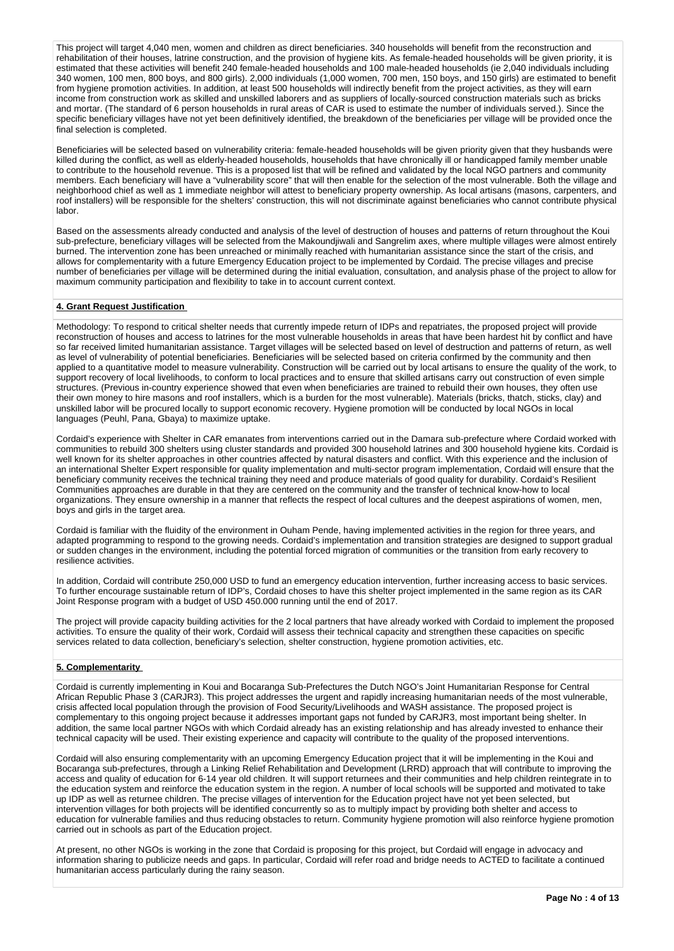This project will target 4,040 men, women and children as direct beneficiaries. 340 households will benefit from the reconstruction and rehabilitation of their houses, latrine construction, and the provision of hygiene kits. As female-headed households will be given priority, it is estimated that these activities will benefit 240 female-headed households and 100 male-headed households (ie 2,040 individuals including 340 women, 100 men, 800 boys, and 800 girls). 2,000 individuals (1,000 women, 700 men, 150 boys, and 150 girls) are estimated to benefit from hygiene promotion activities. In addition, at least 500 households will indirectly benefit from the project activities, as they will earn income from construction work as skilled and unskilled laborers and as suppliers of locally-sourced construction materials such as bricks and mortar. (The standard of 6 person households in rural areas of CAR is used to estimate the number of individuals served.). Since the specific beneficiary villages have not yet been definitively identified, the breakdown of the beneficiaries per village will be provided once the final selection is completed.

Beneficiaries will be selected based on vulnerability criteria: female-headed households will be given priority given that they husbands were killed during the conflict, as well as elderly-headed households, households that have chronically ill or handicapped family member unable to contribute to the household revenue. This is a proposed list that will be refined and validated by the local NGO partners and community members. Each beneficiary will have a "vulnerability score" that will then enable for the selection of the most vulnerable. Both the village and neighborhood chief as well as 1 immediate neighbor will attest to beneficiary property ownership. As local artisans (masons, carpenters, and roof installers) will be responsible for the shelters' construction, this will not discriminate against beneficiaries who cannot contribute physical labor.

Based on the assessments already conducted and analysis of the level of destruction of houses and patterns of return throughout the Koui sub-prefecture, beneficiary villages will be selected from the Makoundjiwali and Sangrelim axes, where multiple villages were almost entirely burned. The intervention zone has been unreached or minimally reached with humanitarian assistance since the start of the crisis, and allows for complementarity with a future Emergency Education project to be implemented by Cordaid. The precise villages and precise number of beneficiaries per village will be determined during the initial evaluation, consultation, and analysis phase of the project to allow for maximum community participation and flexibility to take in to account current context.

### **4. Grant Request Justification**

Methodology: To respond to critical shelter needs that currently impede return of IDPs and repatriates, the proposed project will provide reconstruction of houses and access to latrines for the most vulnerable households in areas that have been hardest hit by conflict and have so far received limited humanitarian assistance. Target villages will be selected based on level of destruction and patterns of return, as well as level of vulnerability of potential beneficiaries. Beneficiaries will be selected based on criteria confirmed by the community and then applied to a quantitative model to measure vulnerability. Construction will be carried out by local artisans to ensure the quality of the work, to support recovery of local livelihoods, to conform to local practices and to ensure that skilled artisans carry out construction of even simple structures. (Previous in-country experience showed that even when beneficiaries are trained to rebuild their own houses, they often use their own money to hire masons and roof installers, which is a burden for the most vulnerable). Materials (bricks, thatch, sticks, clay) and unskilled labor will be procured locally to support economic recovery. Hygiene promotion will be conducted by local NGOs in local languages (Peuhl, Pana, Gbaya) to maximize uptake.

Cordaid's experience with Shelter in CAR emanates from interventions carried out in the Damara sub-prefecture where Cordaid worked with communities to rebuild 300 shelters using cluster standards and provided 300 household latrines and 300 household hygiene kits. Cordaid is well known for its shelter approaches in other countries affected by natural disasters and conflict. With this experience and the inclusion of an international Shelter Expert responsible for quality implementation and multi-sector program implementation, Cordaid will ensure that the beneficiary community receives the technical training they need and produce materials of good quality for durability. Cordaid's Resilient Communities approaches are durable in that they are centered on the community and the transfer of technical know-how to local organizations. They ensure ownership in a manner that reflects the respect of local cultures and the deepest aspirations of women, men, boys and girls in the target area.

Cordaid is familiar with the fluidity of the environment in Ouham Pende, having implemented activities in the region for three years, and adapted programming to respond to the growing needs. Cordaid's implementation and transition strategies are designed to support gradual or sudden changes in the environment, including the potential forced migration of communities or the transition from early recovery to resilience activities.

In addition, Cordaid will contribute 250,000 USD to fund an emergency education intervention, further increasing access to basic services. To further encourage sustainable return of IDP's, Cordaid choses to have this shelter project implemented in the same region as its CAR Joint Response program with a budget of USD 450.000 running until the end of 2017.

The project will provide capacity building activities for the 2 local partners that have already worked with Cordaid to implement the proposed activities. To ensure the quality of their work, Cordaid will assess their technical capacity and strengthen these capacities on specific services related to data collection, beneficiary's selection, shelter construction, hygiene promotion activities, etc.

### **5. Complementarity**

Cordaid is currently implementing in Koui and Bocaranga Sub-Prefectures the Dutch NGO's Joint Humanitarian Response for Central African Republic Phase 3 (CARJR3). This project addresses the urgent and rapidly increasing humanitarian needs of the most vulnerable, crisis affected local population through the provision of Food Security/Livelihoods and WASH assistance. The proposed project is complementary to this ongoing project because it addresses important gaps not funded by CARJR3, most important being shelter. In addition, the same local partner NGOs with which Cordaid already has an existing relationship and has already invested to enhance their technical capacity will be used. Their existing experience and capacity will contribute to the quality of the proposed interventions.

Cordaid will also ensuring complementarity with an upcoming Emergency Education project that it will be implementing in the Koui and Bocaranga sub-prefectures, through a Linking Relief Rehabilitation and Development (LRRD) approach that will contribute to improving the access and quality of education for 6-14 year old children. It will support returnees and their communities and help children reintegrate in to the education system and reinforce the education system in the region. A number of local schools will be supported and motivated to take up IDP as well as returnee children. The precise villages of intervention for the Education project have not yet been selected, but intervention villages for both projects will be identified concurrently so as to multiply impact by providing both shelter and access to education for vulnerable families and thus reducing obstacles to return. Community hygiene promotion will also reinforce hygiene promotion carried out in schools as part of the Education project.

At present, no other NGOs is working in the zone that Cordaid is proposing for this project, but Cordaid will engage in advocacy and information sharing to publicize needs and gaps. In particular, Cordaid will refer road and bridge needs to ACTED to facilitate a continued humanitarian access particularly during the rainy season.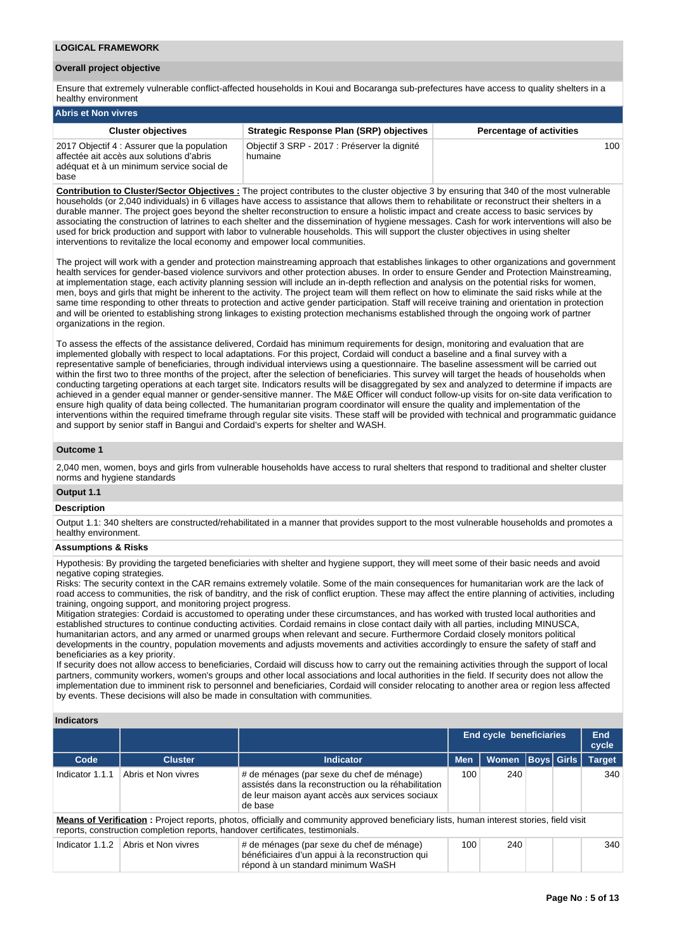#### **Overall project objective**

Ensure that extremely vulnerable conflict-affected households in Koui and Bocaranga sub-prefectures have access to quality shelters in a healthy environment

| Abris et Non vivres                                                                                                                          |                                                         |                                 |  |  |  |  |  |  |
|----------------------------------------------------------------------------------------------------------------------------------------------|---------------------------------------------------------|---------------------------------|--|--|--|--|--|--|
| <b>Cluster objectives</b>                                                                                                                    | <b>Strategic Response Plan (SRP) objectives</b>         | <b>Percentage of activities</b> |  |  |  |  |  |  |
| 2017 Objectif 4 : Assurer que la population<br>affectée ait accès aux solutions d'abris<br>adéquat et à un minimum service social de<br>base | Objectif 3 SRP - 2017 : Préserver la dignité<br>humaine | 100 <sup>1</sup>                |  |  |  |  |  |  |

**Contribution to Cluster/Sector Objectives :** The project contributes to the cluster objective 3 by ensuring that 340 of the most vulnerable households (or 2,040 individuals) in 6 villages have access to assistance that allows them to rehabilitate or reconstruct their shelters in a durable manner. The project goes beyond the shelter reconstruction to ensure a holistic impact and create access to basic services by associating the construction of latrines to each shelter and the dissemination of hygiene messages. Cash for work interventions will also be used for brick production and support with labor to vulnerable households. This will support the cluster objectives in using shelter interventions to revitalize the local economy and empower local communities.

The project will work with a gender and protection mainstreaming approach that establishes linkages to other organizations and government health services for gender-based violence survivors and other protection abuses. In order to ensure Gender and Protection Mainstreaming, at implementation stage, each activity planning session will include an in-depth reflection and analysis on the potential risks for women, men, boys and girls that might be inherent to the activity. The project team will them reflect on how to eliminate the said risks while at the same time responding to other threats to protection and active gender participation. Staff will receive training and orientation in protection and will be oriented to establishing strong linkages to existing protection mechanisms established through the ongoing work of partner organizations in the region.

To assess the effects of the assistance delivered, Cordaid has minimum requirements for design, monitoring and evaluation that are implemented globally with respect to local adaptations. For this project, Cordaid will conduct a baseline and a final survey with a representative sample of beneficiaries, through individual interviews using a questionnaire. The baseline assessment will be carried out within the first two to three months of the project, after the selection of beneficiaries. This survey will target the heads of households when conducting targeting operations at each target site. Indicators results will be disaggregated by sex and analyzed to determine if impacts are achieved in a gender equal manner or gender-sensitive manner. The M&E Officer will conduct follow-up visits for on-site data verification to ensure high quality of data being collected. The humanitarian program coordinator will ensure the quality and implementation of the interventions within the required timeframe through regular site visits. These staff will be provided with technical and programmatic guidance and support by senior staff in Bangui and Cordaid's experts for shelter and WASH.

### **Outcome 1**

2,040 men, women, boys and girls from vulnerable households have access to rural shelters that respond to traditional and shelter cluster norms and hygiene standards

### **Output 1.1**

#### **Description**

Output 1.1: 340 shelters are constructed/rehabilitated in a manner that provides support to the most vulnerable households and promotes a healthy environment.

## **Assumptions & Risks**

Hypothesis: By providing the targeted beneficiaries with shelter and hygiene support, they will meet some of their basic needs and avoid negative coping strategies.

Risks: The security context in the CAR remains extremely volatile. Some of the main consequences for humanitarian work are the lack of road access to communities, the risk of banditry, and the risk of conflict eruption. These may affect the entire planning of activities, including training, ongoing support, and monitoring project progress.

Mitigation strategies: Cordaid is accustomed to operating under these circumstances, and has worked with trusted local authorities and established structures to continue conducting activities. Cordaid remains in close contact daily with all parties, including MINUSCA, humanitarian actors, and any armed or unarmed groups when relevant and secure. Furthermore Cordaid closely monitors political developments in the country, population movements and adjusts movements and activities accordingly to ensure the safety of staff and beneficiaries as a key priority.

If security does not allow access to beneficiaries, Cordaid will discuss how to carry out the remaining activities through the support of local partners, community workers, women's groups and other local associations and local authorities in the field. If security does not allow the implementation due to imminent risk to personnel and beneficiaries, Cordaid will consider relocating to another area or region less affected by events. These decisions will also be made in consultation with communities.

### **Indicators**

|                 |                     |                                                                                                                                                                                                                            | End cycle beneficiaries | <b>End</b><br>cycle |                   |               |
|-----------------|---------------------|----------------------------------------------------------------------------------------------------------------------------------------------------------------------------------------------------------------------------|-------------------------|---------------------|-------------------|---------------|
| Code            | <b>Cluster</b>      | <b>Indicator</b>                                                                                                                                                                                                           | <b>Men</b>              | <b>Women</b>        | <b>Boys Girls</b> | <b>Target</b> |
| Indicator 1.1.1 | Abris et Non vivres | # de ménages (par sexe du chef de ménage)<br>assistés dans la reconstruction ou la réhabilitation<br>de leur maison ayant accès aux services sociaux<br>de base                                                            | 100                     | 240                 |                   | 340           |
|                 |                     | Means of Verification: Project reports, photos, officially and community approved beneficiary lists, human interest stories, field visit<br>reports, construction completion reports, handover certificates, testimonials. |                         |                     |                   |               |
| Indicator 1.1.2 | Abris et Non vivres | # de ménages (par sexe du chef de ménage)<br>bénéficiaires d'un appui à la reconstruction qui<br>répond à un standard minimum WaSH                                                                                         | 100                     | 240                 |                   | 340           |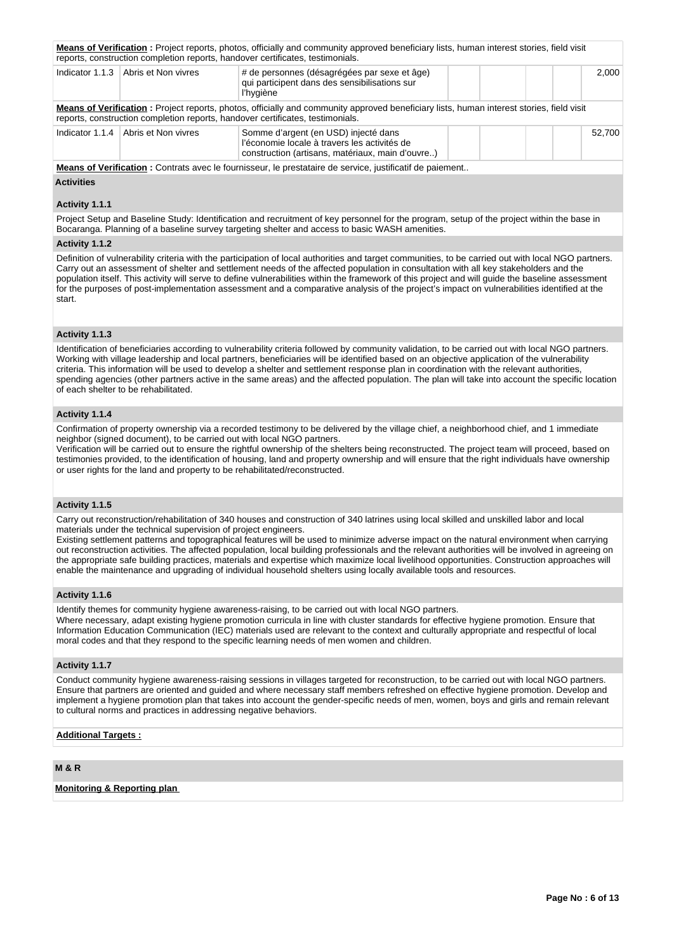|                 |                                     | Means of Verification: Project reports, photos, officially and community approved beneficiary lists, human interest stories, field visit<br>reports, construction completion reports, handover certificates, testimonials.         |  |  |        |  |  |  |
|-----------------|-------------------------------------|------------------------------------------------------------------------------------------------------------------------------------------------------------------------------------------------------------------------------------|--|--|--------|--|--|--|
| Indicator 1.1.3 | Abris et Non vivres                 | # de personnes (désagrégées par sexe et âge)<br>qui participent dans des sensibilisations sur<br>l'hygiène                                                                                                                         |  |  |        |  |  |  |
|                 |                                     | <b>Means of Verification</b> : Project reports, photos, officially and community approved beneficiary lists, human interest stories, field visit<br>reports, construction completion reports, handover certificates, testimonials. |  |  |        |  |  |  |
|                 | Indicator 1.1.4 Abris et Non vivres | Somme d'argent (en USD) injecté dans<br>l'économie locale à travers les activités de<br>construction (artisans, matériaux, main d'ouvre)                                                                                           |  |  | 52.700 |  |  |  |
|                 |                                     | Means of Verification : Contrats avec le fournisseur, le prestataire de service, justificatif de paiement                                                                                                                          |  |  |        |  |  |  |

**Activities**

#### **Activity 1.1.1**

Project Setup and Baseline Study: Identification and recruitment of key personnel for the program, setup of the project within the base in Bocaranga. Planning of a baseline survey targeting shelter and access to basic WASH amenities.

#### **Activity 1.1.2**

Definition of vulnerability criteria with the participation of local authorities and target communities, to be carried out with local NGO partners. Carry out an assessment of shelter and settlement needs of the affected population in consultation with all key stakeholders and the population itself. This activity will serve to define vulnerabilities within the framework of this project and will guide the baseline assessment for the purposes of post-implementation assessment and a comparative analysis of the project's impact on vulnerabilities identified at the start.

### **Activity 1.1.3**

Identification of beneficiaries according to vulnerability criteria followed by community validation, to be carried out with local NGO partners. Working with village leadership and local partners, beneficiaries will be identified based on an objective application of the vulnerability criteria. This information will be used to develop a shelter and settlement response plan in coordination with the relevant authorities, spending agencies (other partners active in the same areas) and the affected population. The plan will take into account the specific location of each shelter to be rehabilitated.

### **Activity 1.1.4**

Confirmation of property ownership via a recorded testimony to be delivered by the village chief, a neighborhood chief, and 1 immediate neighbor (signed document), to be carried out with local NGO partners.

Verification will be carried out to ensure the rightful ownership of the shelters being reconstructed. The project team will proceed, based on testimonies provided, to the identification of housing, land and property ownership and will ensure that the right individuals have ownership or user rights for the land and property to be rehabilitated/reconstructed.

## **Activity 1.1.5**

Carry out reconstruction/rehabilitation of 340 houses and construction of 340 latrines using local skilled and unskilled labor and local materials under the technical supervision of project engineers.

Existing settlement patterns and topographical features will be used to minimize adverse impact on the natural environment when carrying out reconstruction activities. The affected population, local building professionals and the relevant authorities will be involved in agreeing on the appropriate safe building practices, materials and expertise which maximize local livelihood opportunities. Construction approaches will enable the maintenance and upgrading of individual household shelters using locally available tools and resources.

### **Activity 1.1.6**

Identify themes for community hygiene awareness-raising, to be carried out with local NGO partners.

Where necessary, adapt existing hygiene promotion curricula in line with cluster standards for effective hygiene promotion. Ensure that Information Education Communication (IEC) materials used are relevant to the context and culturally appropriate and respectful of local moral codes and that they respond to the specific learning needs of men women and children.

### **Activity 1.1.7**

Conduct community hygiene awareness-raising sessions in villages targeted for reconstruction, to be carried out with local NGO partners. Ensure that partners are oriented and guided and where necessary staff members refreshed on effective hygiene promotion. Develop and implement a hygiene promotion plan that takes into account the gender-specific needs of men, women, boys and girls and remain relevant to cultural norms and practices in addressing negative behaviors.

# **Additional Targets :**

# **M & R**

**Monitoring & Reporting plan**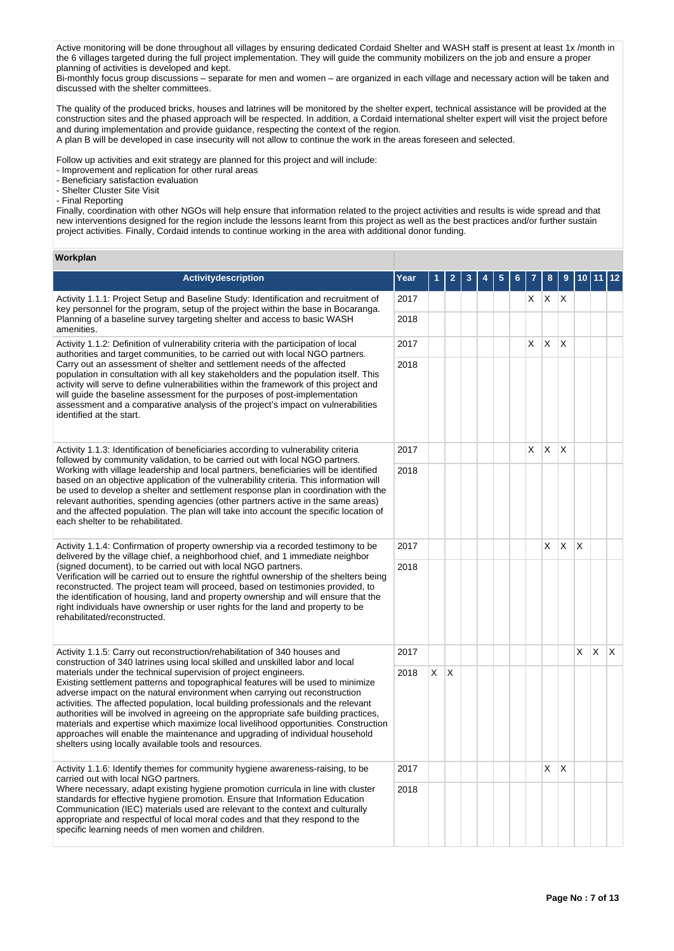Active monitoring will be done throughout all villages by ensuring dedicated Cordaid Shelter and WASH staff is present at least 1x /month in the 6 villages targeted during the full project implementation. They will guide the community mobilizers on the job and ensure a proper planning of activities is developed and kept.

Bi-monthly focus group discussions – separate for men and women – are organized in each village and necessary action will be taken and discussed with the shelter committees.

The quality of the produced bricks, houses and latrines will be monitored by the shelter expert, technical assistance will be provided at the construction sites and the phased approach will be respected. In addition, a Cordaid international shelter expert will visit the project before and during implementation and provide guidance, respecting the context of the region.

A plan B will be developed in case insecurity will not allow to continue the work in the areas foreseen and selected.

Follow up activities and exit strategy are planned for this project and will include:

- Improvement and replication for other rural areas

- Beneficiary satisfaction evaluation

- Shelter Cluster Site Visit

- Final Reporting

Finally, coordination with other NGOs will help ensure that information related to the project activities and results is wide spread and that new interventions designed for the region include the lessons learnt from this project as well as the best practices and/or further sustain project activities. Finally, Cordaid intends to continue working in the area with additional donor funding.

### **Workplan**

| Activitydescription                                                                                                                                                                                                                                                                                                                                                                                                                                                                                                                                                                                                                             | Year |    |              |  |  |    |                         |              |                         |              |              |
|-------------------------------------------------------------------------------------------------------------------------------------------------------------------------------------------------------------------------------------------------------------------------------------------------------------------------------------------------------------------------------------------------------------------------------------------------------------------------------------------------------------------------------------------------------------------------------------------------------------------------------------------------|------|----|--------------|--|--|----|-------------------------|--------------|-------------------------|--------------|--------------|
| Activity 1.1.1: Project Setup and Baseline Study: Identification and recruitment of<br>key personnel for the program, setup of the project within the base in Bocaranga.                                                                                                                                                                                                                                                                                                                                                                                                                                                                        | 2017 |    |              |  |  | X. | $\mathsf{X} \mathsf{X}$ |              |                         |              |              |
| Planning of a baseline survey targeting shelter and access to basic WASH<br>amenities.                                                                                                                                                                                                                                                                                                                                                                                                                                                                                                                                                          | 2018 |    |              |  |  |    |                         |              |                         |              |              |
| Activity 1.1.2: Definition of vulnerability criteria with the participation of local<br>authorities and target communities, to be carried out with local NGO partners.                                                                                                                                                                                                                                                                                                                                                                                                                                                                          | 2017 |    |              |  |  | X  | $\mathsf{X}$            | $\mathsf{X}$ |                         |              |              |
| Carry out an assessment of shelter and settlement needs of the affected<br>population in consultation with all key stakeholders and the population itself. This<br>activity will serve to define vulnerabilities within the framework of this project and<br>will guide the baseline assessment for the purposes of post-implementation<br>assessment and a comparative analysis of the project's impact on vulnerabilities<br>identified at the start.                                                                                                                                                                                         | 2018 |    |              |  |  |    |                         |              |                         |              |              |
| Activity 1.1.3: Identification of beneficiaries according to vulnerability criteria<br>followed by community validation, to be carried out with local NGO partners.                                                                                                                                                                                                                                                                                                                                                                                                                                                                             | 2017 |    |              |  |  | X  | X.                      | $\mathsf{X}$ |                         |              |              |
| Working with village leadership and local partners, beneficiaries will be identified<br>based on an objective application of the vulnerability criteria. This information will<br>be used to develop a shelter and settlement response plan in coordination with the<br>relevant authorities, spending agencies (other partners active in the same areas)<br>and the affected population. The plan will take into account the specific location of<br>each shelter to be rehabilitated.                                                                                                                                                         | 2018 |    |              |  |  |    |                         |              |                         |              |              |
| Activity 1.1.4: Confirmation of property ownership via a recorded testimony to be<br>delivered by the village chief, a neighborhood chief, and 1 immediate neighbor                                                                                                                                                                                                                                                                                                                                                                                                                                                                             | 2017 |    |              |  |  |    | X                       | X            | $\overline{\mathsf{x}}$ |              |              |
| (signed document), to be carried out with local NGO partners.<br>Verification will be carried out to ensure the rightful ownership of the shelters being<br>reconstructed. The project team will proceed, based on testimonies provided, to<br>the identification of housing, land and property ownership and will ensure that the<br>right individuals have ownership or user rights for the land and property to be<br>rehabilitated/reconstructed.                                                                                                                                                                                           | 2018 |    |              |  |  |    |                         |              |                         |              |              |
| Activity 1.1.5: Carry out reconstruction/rehabilitation of 340 houses and<br>construction of 340 latrines using local skilled and unskilled labor and local                                                                                                                                                                                                                                                                                                                                                                                                                                                                                     | 2017 |    |              |  |  |    |                         |              | $\times$                | $\mathsf{X}$ | $\mathsf{X}$ |
| materials under the technical supervision of project engineers.<br>Existing settlement patterns and topographical features will be used to minimize<br>adverse impact on the natural environment when carrying out reconstruction<br>activities. The affected population, local building professionals and the relevant<br>authorities will be involved in agreeing on the appropriate safe building practices,<br>materials and expertise which maximize local livelihood opportunities. Construction<br>approaches will enable the maintenance and upgrading of individual household<br>shelters using locally available tools and resources. | 2018 | X. | $\mathsf{X}$ |  |  |    |                         |              |                         |              |              |
| Activity 1.1.6: Identify themes for community hygiene awareness-raising, to be<br>carried out with local NGO partners.                                                                                                                                                                                                                                                                                                                                                                                                                                                                                                                          | 2017 |    |              |  |  |    | $\times$                | $\mathsf{X}$ |                         |              |              |
| Where necessary, adapt existing hygiene promotion curricula in line with cluster<br>standards for effective hygiene promotion. Ensure that Information Education<br>Communication (IEC) materials used are relevant to the context and culturally<br>appropriate and respectful of local moral codes and that they respond to the<br>specific learning needs of men women and children.                                                                                                                                                                                                                                                         | 2018 |    |              |  |  |    |                         |              |                         |              |              |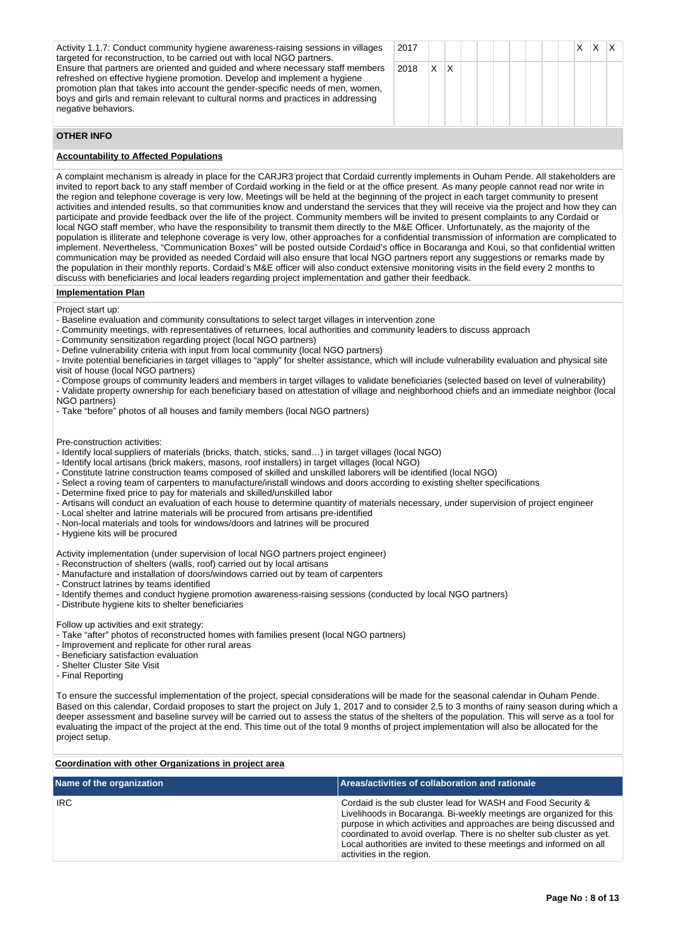Activity 1.1.7: Conduct community hygiene awareness-raising sessions in villages targeted for reconstruction, to be carried out with local NGO partners. Ensure that partners are oriented and guided and where necessary staff members refreshed on effective hygiene promotion. Develop and implement a hygiene promotion plan that takes into account the gender-specific needs of men, women, boys and girls and remain relevant to cultural norms and practices in addressing negative behaviors.

| 2017     |  |  |  |  |  | $X \mid X \mid X$ |  |
|----------|--|--|--|--|--|-------------------|--|
| 2018 X X |  |  |  |  |  |                   |  |

### **OTHER INFO**

# **Accountability to Affected Populations**

A complaint mechanism is already in place for the CARJR3 project that Cordaid currently implements in Ouham Pende. All stakeholders are invited to report back to any staff member of Cordaid working in the field or at the office present. As many people cannot read nor write in the region and telephone coverage is very low, Meetings will be held at the beginning of the project in each target community to present activities and intended results, so that communities know and understand the services that they will receive via the project and how they can participate and provide feedback over the life of the project. Community members will be invited to present complaints to any Cordaid or local NGO staff member, who have the responsibility to transmit them directly to the M&E Officer. Unfortunately, as the majority of the population is illiterate and telephone coverage is very low, other approaches for a confidential transmission of information are complicated to implement. Nevertheless, "Communication Boxes" will be posted outside Cordaid's office in Bocaranga and Koui, so that confidential written communication may be provided as needed Cordaid will also ensure that local NGO partners report any suggestions or remarks made by the population in their monthly reports. Cordaid's M&E officer will also conduct extensive monitoring visits in the field every 2 months to discuss with beneficiaries and local leaders regarding project implementation and gather their feedback.

**Implementation Plan**

Project start up:

- Baseline evaluation and community consultations to select target villages in intervention zone

- Community meetings, with representatives of returnees, local authorities and community leaders to discuss approach

- Community sensitization regarding project (local NGO partners)

- Define vulnerability criteria with input from local community (local NGO partners)

- Invite potential beneficiaries in target villages to "apply" for shelter assistance, which will include vulnerability evaluation and physical site visit of house (local NGO partners)

- Compose groups of community leaders and members in target villages to validate beneficiaries (selected based on level of vulnerability) - Validate property ownership for each beneficiary based on attestation of village and neighborhood chiefs and an immediate neighbor (local

NGO partners)

- Take "before" photos of all houses and family members (local NGO partners)

Pre-construction activities:

- Identify local suppliers of materials (bricks, thatch, sticks, sand…) in target villages (local NGO)
- Identify local artisans (brick makers, masons, roof installers) in target villages (local NGO)
- Constitute latrine construction teams composed of skilled and unskilled laborers will be identified (local NGO)
- Select a roving team of carpenters to manufacture/install windows and doors according to existing shelter specifications
- Determine fixed price to pay for materials and skilled/unskilled labor

- Artisans will conduct an evaluation of each house to determine quantity of materials necessary, under supervision of project engineer

- Local shelter and latrine materials will be procured from artisans pre-identified
- Non-local materials and tools for windows/doors and latrines will be procured

- Hygiene kits will be procured

Activity implementation (under supervision of local NGO partners project engineer)

- Reconstruction of shelters (walls, roof) carried out by local artisans
- Manufacture and installation of doors/windows carried out by team of carpenters
- Construct latrines by teams identified
- Identify themes and conduct hygiene promotion awareness-raising sessions (conducted by local NGO partners)
- Distribute hygiene kits to shelter beneficiaries

Follow up activities and exit strategy:

- Take "after" photos of reconstructed homes with families present (local NGO partners)
- Improvement and replicate for other rural areas

- Beneficiary satisfaction evaluation

- Shelter Cluster Site Visit
- Final Reporting

To ensure the successful implementation of the project, special considerations will be made for the seasonal calendar in Ouham Pende. Based on this calendar, Cordaid proposes to start the project on July 1, 2017 and to consider 2.5 to 3 months of rainy season during which a deeper assessment and baseline survey will be carried out to assess the status of the shelters of the population. This will serve as a tool for evaluating the impact of the project at the end. This time out of the total 9 months of project implementation will also be allocated for the project setup.

| Coordination with other Organizations in project area |                                                                                                                                                                                                                                                                                                                                                                                        |  |  |  |  |  |  |  |
|-------------------------------------------------------|----------------------------------------------------------------------------------------------------------------------------------------------------------------------------------------------------------------------------------------------------------------------------------------------------------------------------------------------------------------------------------------|--|--|--|--|--|--|--|
| Name of the organization                              | <b>Areas/activities of collaboration and rationale</b>                                                                                                                                                                                                                                                                                                                                 |  |  |  |  |  |  |  |
| <b>IRC</b>                                            | Cordaid is the sub cluster lead for WASH and Food Security &<br>Livelihoods in Bocaranga. Bi-weekly meetings are organized for this<br>purpose in which activities and approaches are being discussed and<br>coordinated to avoid overlap. There is no shelter sub cluster as yet.<br>Local authorities are invited to these meetings and informed on all<br>activities in the region. |  |  |  |  |  |  |  |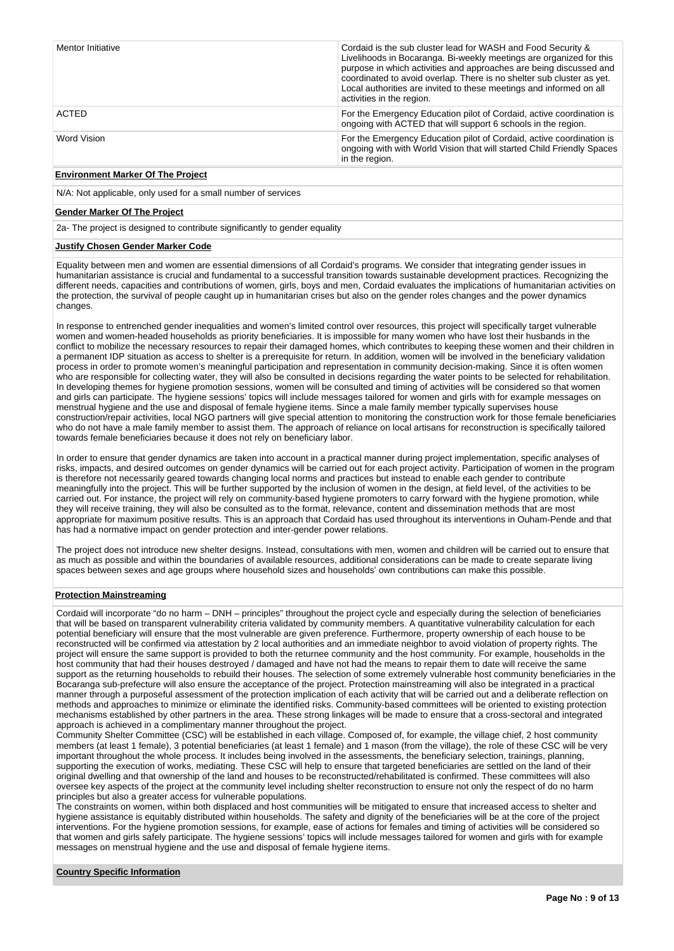| Mentor Initiative | Cordaid is the sub cluster lead for WASH and Food Security &<br>Livelihoods in Bocaranga. Bi-weekly meetings are organized for this<br>purpose in which activities and approaches are being discussed and<br>coordinated to avoid overlap. There is no shelter sub cluster as yet.<br>Local authorities are invited to these meetings and informed on all<br>activities in the region. |
|-------------------|----------------------------------------------------------------------------------------------------------------------------------------------------------------------------------------------------------------------------------------------------------------------------------------------------------------------------------------------------------------------------------------|
| ACTED             | For the Emergency Education pilot of Cordaid, active coordination is<br>ongoing with ACTED that will support 6 schools in the region.                                                                                                                                                                                                                                                  |
| Word Vision       | For the Emergency Education pilot of Cordaid, active coordination is<br>ongoing with with World Vision that will started Child Friendly Spaces<br>in the region.                                                                                                                                                                                                                       |

# **Environment Marker Of The Project**

N/A: Not applicable, only used for a small number of services

#### **Gender Marker Of The Project**

2a- The project is designed to contribute significantly to gender equality

### **Justify Chosen Gender Marker Code**

Equality between men and women are essential dimensions of all Cordaid's programs. We consider that integrating gender issues in humanitarian assistance is crucial and fundamental to a successful transition towards sustainable development practices. Recognizing the different needs, capacities and contributions of women, girls, boys and men, Cordaid evaluates the implications of humanitarian activities on the protection, the survival of people caught up in humanitarian crises but also on the gender roles changes and the power dynamics changes.

In response to entrenched gender inequalities and women's limited control over resources, this project will specifically target vulnerable women and women-headed households as priority beneficiaries. It is impossible for many women who have lost their husbands in the conflict to mobilize the necessary resources to repair their damaged homes, which contributes to keeping these women and their children in a permanent IDP situation as access to shelter is a prerequisite for return. In addition, women will be involved in the beneficiary validation process in order to promote women's meaningful participation and representation in community decision-making. Since it is often women who are responsible for collecting water, they will also be consulted in decisions regarding the water points to be selected for rehabilitation. In developing themes for hygiene promotion sessions, women will be consulted and timing of activities will be considered so that women and girls can participate. The hygiene sessions' topics will include messages tailored for women and girls with for example messages on menstrual hygiene and the use and disposal of female hygiene items. Since a male family member typically supervises house construction/repair activities, local NGO partners will give special attention to monitoring the construction work for those female beneficiaries who do not have a male family member to assist them. The approach of reliance on local artisans for reconstruction is specifically tailored towards female beneficiaries because it does not rely on beneficiary labor.

In order to ensure that gender dynamics are taken into account in a practical manner during project implementation, specific analyses of risks, impacts, and desired outcomes on gender dynamics will be carried out for each project activity. Participation of women in the program is therefore not necessarily geared towards changing local norms and practices but instead to enable each gender to contribute meaningfully into the project. This will be further supported by the inclusion of women in the design, at field level, of the activities to be carried out. For instance, the project will rely on community-based hygiene promoters to carry forward with the hygiene promotion, while they will receive training, they will also be consulted as to the format, relevance, content and dissemination methods that are most appropriate for maximum positive results. This is an approach that Cordaid has used throughout its interventions in Ouham-Pende and that has had a normative impact on gender protection and inter-gender power relations.

The project does not introduce new shelter designs. Instead, consultations with men, women and children will be carried out to ensure that as much as possible and within the boundaries of available resources, additional considerations can be made to create separate living spaces between sexes and age groups where household sizes and households' own contributions can make this possible.

## **Protection Mainstreaming**

Cordaid will incorporate "do no harm – DNH – principles" throughout the project cycle and especially during the selection of beneficiaries that will be based on transparent vulnerability criteria validated by community members. A quantitative vulnerability calculation for each potential beneficiary will ensure that the most vulnerable are given preference. Furthermore, property ownership of each house to be reconstructed will be confirmed via attestation by 2 local authorities and an immediate neighbor to avoid violation of property rights. The project will ensure the same support is provided to both the returnee community and the host community. For example, households in the host community that had their houses destroyed / damaged and have not had the means to repair them to date will receive the same support as the returning households to rebuild their houses. The selection of some extremely vulnerable host community beneficiaries in the Bocaranga sub-prefecture will also ensure the acceptance of the project. Protection mainstreaming will also be integrated in a practical manner through a purposeful assessment of the protection implication of each activity that will be carried out and a deliberate reflection on methods and approaches to minimize or eliminate the identified risks. Community-based committees will be oriented to existing protection mechanisms established by other partners in the area. These strong linkages will be made to ensure that a cross-sectoral and integrated approach is achieved in a complimentary manner throughout the project.

Community Shelter Committee (CSC) will be established in each village. Composed of, for example, the village chief, 2 host community members (at least 1 female), 3 potential beneficiaries (at least 1 female) and 1 mason (from the village), the role of these CSC will be very important throughout the whole process. It includes being involved in the assessments, the beneficiary selection, trainings, planning, supporting the execution of works, mediating. These CSC will help to ensure that targeted beneficiaries are settled on the land of their original dwelling and that ownership of the land and houses to be reconstructed/rehabilitated is confirmed. These committees will also oversee key aspects of the project at the community level including shelter reconstruction to ensure not only the respect of do no harm principles but also a greater access for vulnerable populations.

The constraints on women, within both displaced and host communities will be mitigated to ensure that increased access to shelter and hygiene assistance is equitably distributed within households. The safety and dignity of the beneficiaries will be at the core of the project interventions. For the hygiene promotion sessions, for example, ease of actions for females and timing of activities will be considered so that women and girls safely participate. The hygiene sessions' topics will include messages tailored for women and girls with for example messages on menstrual hygiene and the use and disposal of female hygiene items.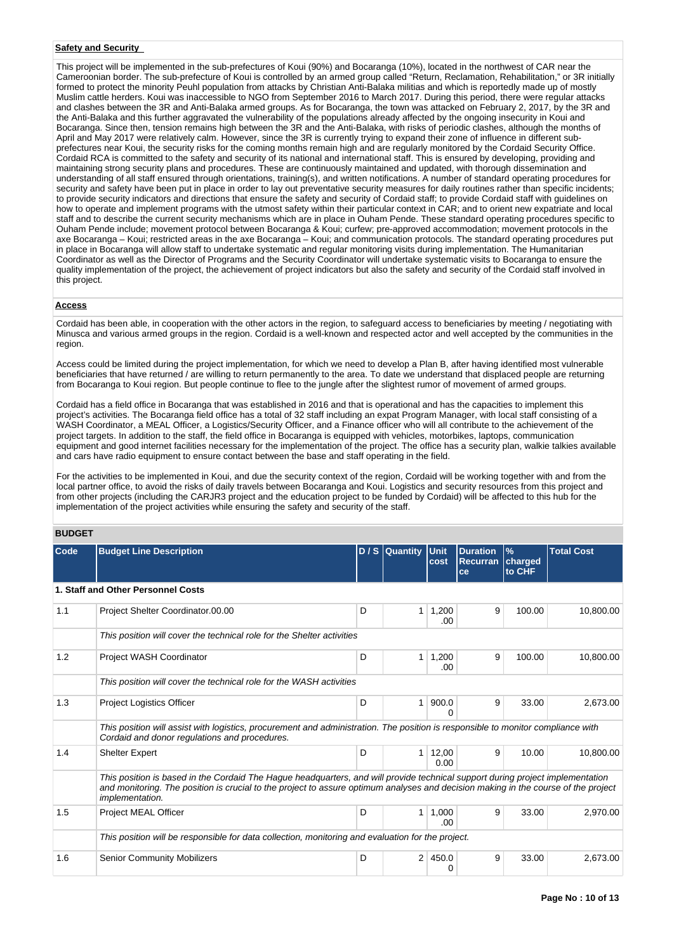## **Safety and Security**

This project will be implemented in the sub-prefectures of Koui (90%) and Bocaranga (10%), located in the northwest of CAR near the Cameroonian border. The sub-prefecture of Koui is controlled by an armed group called "Return, Reclamation, Rehabilitation," or 3R initially formed to protect the minority Peuhl population from attacks by Christian Anti-Balaka militias and which is reportedly made up of mostly Muslim cattle herders. Koui was inaccessible to NGO from September 2016 to March 2017. During this period, there were regular attacks and clashes between the 3R and Anti-Balaka armed groups. As for Bocaranga, the town was attacked on February 2, 2017, by the 3R and the Anti-Balaka and this further aggravated the vulnerability of the populations already affected by the ongoing insecurity in Koui and Bocaranga. Since then, tension remains high between the 3R and the Anti-Balaka, with risks of periodic clashes, although the months of April and May 2017 were relatively calm. However, since the 3R is currently trying to expand their zone of influence in different subprefectures near Koui, the security risks for the coming months remain high and are regularly monitored by the Cordaid Security Office. Cordaid RCA is committed to the safety and security of its national and international staff. This is ensured by developing, providing and maintaining strong security plans and procedures. These are continuously maintained and updated, with thorough dissemination and understanding of all staff ensured through orientations, training(s), and written notifications. A number of standard operating procedures for security and safety have been put in place in order to lay out preventative security measures for daily routines rather than specific incidents; to provide security indicators and directions that ensure the safety and security of Cordaid staff; to provide Cordaid staff with guidelines on how to operate and implement programs with the utmost safety within their particular context in CAR; and to orient new expatriate and local staff and to describe the current security mechanisms which are in place in Ouham Pende. These standard operating procedures specific to Ouham Pende include; movement protocol between Bocaranga & Koui; curfew; pre-approved accommodation; movement protocols in the axe Bocaranga – Koui; restricted areas in the axe Bocaranga – Koui; and communication protocols. The standard operating procedures put in place in Bocaranga will allow staff to undertake systematic and regular monitoring visits during implementation. The Humanitarian Coordinator as well as the Director of Programs and the Security Coordinator will undertake systematic visits to Bocaranga to ensure the quality implementation of the project, the achievement of project indicators but also the safety and security of the Cordaid staff involved in this project.

### **Access**

Cordaid has been able, in cooperation with the other actors in the region, to safeguard access to beneficiaries by meeting / negotiating with Minusca and various armed groups in the region. Cordaid is a well-known and respected actor and well accepted by the communities in the region.

Access could be limited during the project implementation, for which we need to develop a Plan B, after having identified most vulnerable beneficiaries that have returned / are willing to return permanently to the area. To date we understand that displaced people are returning from Bocaranga to Koui region. But people continue to flee to the jungle after the slightest rumor of movement of armed groups.

Cordaid has a field office in Bocaranga that was established in 2016 and that is operational and has the capacities to implement this project's activities. The Bocaranga field office has a total of 32 staff including an expat Program Manager, with local staff consisting of a WASH Coordinator, a MEAL Officer, a Logistics/Security Officer, and a Finance officer who will all contribute to the achievement of the project targets. In addition to the staff, the field office in Bocaranga is equipped with vehicles, motorbikes, laptops, communication equipment and good internet facilities necessary for the implementation of the project. The office has a security plan, walkie talkies available and cars have radio equipment to ensure contact between the base and staff operating in the field.

For the activities to be implemented in Koui, and due the security context of the region, Cordaid will be working together with and from the local partner office, to avoid the risks of daily travels between Bocaranga and Koui. Logistics and security resources from this project and from other projects (including the CARJR3 project and the education project to be funded by Cordaid) will be affected to this hub for the implementation of the project activities while ensuring the safety and security of the staff.

### **BUDGET**

| Code | <b>Budget Line Description</b>                                                                                                                                                                                                                                                          |   | D / S Quantity Unit | cost          | <b>Duration</b><br><b>Recurran</b> | $\frac{9}{6}$<br>charged | <b>Total Cost</b> |
|------|-----------------------------------------------------------------------------------------------------------------------------------------------------------------------------------------------------------------------------------------------------------------------------------------|---|---------------------|---------------|------------------------------------|--------------------------|-------------------|
|      |                                                                                                                                                                                                                                                                                         |   |                     |               | ce                                 | to CHF                   |                   |
|      | 1. Staff and Other Personnel Costs                                                                                                                                                                                                                                                      |   |                     |               |                                    |                          |                   |
| 1.1  | Project Shelter Coordinator.00.00                                                                                                                                                                                                                                                       | D | 1                   | 1,200<br>.00  | 9                                  | 100.00                   | 10,800.00         |
|      | This position will cover the technical role for the Shelter activities                                                                                                                                                                                                                  |   |                     |               |                                    |                          |                   |
| 1.2  | Project WASH Coordinator                                                                                                                                                                                                                                                                | D | $\mathbf{1}$        | 1,200<br>.00. | 9                                  | 100.00                   | 10.800.00         |
|      | This position will cover the technical role for the WASH activities                                                                                                                                                                                                                     |   |                     |               |                                    |                          |                   |
| 1.3  | <b>Project Logistics Officer</b>                                                                                                                                                                                                                                                        | D | $\mathbf{1}$        | 900.0<br>n    | 9                                  | 33.00                    | 2,673.00          |
|      | This position will assist with logistics, procurement and administration. The position is responsible to monitor compliance with<br>Cordaid and donor regulations and procedures.                                                                                                       |   |                     |               |                                    |                          |                   |
| 1.4  | <b>Shelter Expert</b>                                                                                                                                                                                                                                                                   | D | 1 <sup>1</sup>      | 12,00<br>0.00 | 9                                  | 10.00                    | 10,800.00         |
|      | This position is based in the Cordaid The Haque headquarters, and will provide technical support during project implementation<br>and monitoring. The position is crucial to the project to assure optimum analyses and decision making in the course of the project<br>implementation. |   |                     |               |                                    |                          |                   |
| 1.5  | Project MEAL Officer                                                                                                                                                                                                                                                                    | D | 1 <sup>1</sup>      | 1,000<br>.00  | 9                                  | 33.00                    | 2,970.00          |
|      | This position will be responsible for data collection, monitoring and evaluation for the project.                                                                                                                                                                                       |   |                     |               |                                    |                          |                   |
| 1.6  | <b>Senior Community Mobilizers</b>                                                                                                                                                                                                                                                      | D | 2                   | 450.0<br>0    | 9                                  | 33.00                    | 2,673.00          |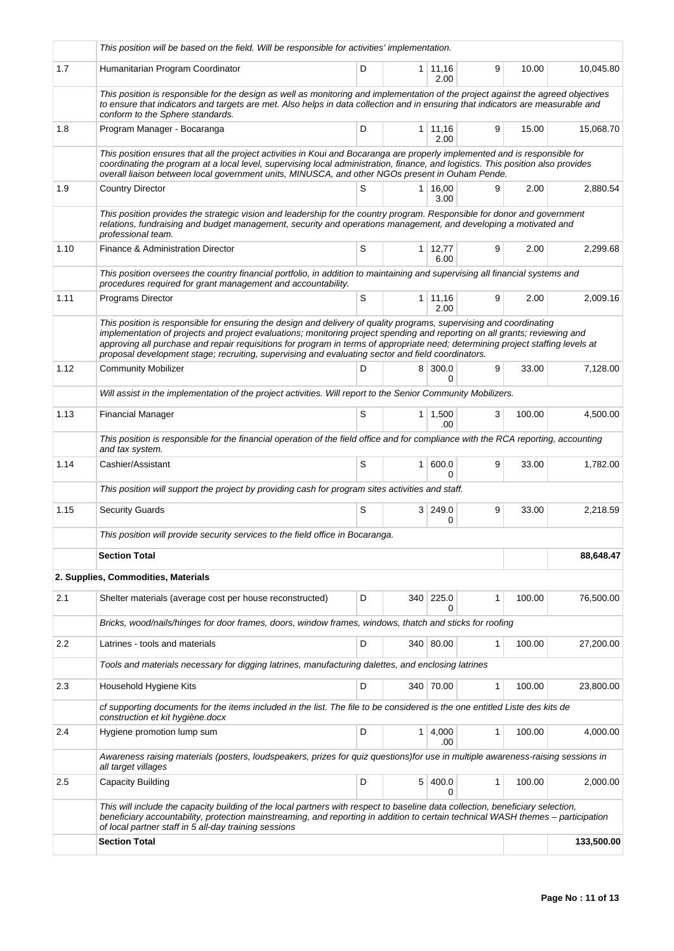|      | This position will be based on the field. Will be responsible for activities' implementation.                                                                                                                                                                                                                                                                                                                                                                                             |   |                |                        |   |        |            |
|------|-------------------------------------------------------------------------------------------------------------------------------------------------------------------------------------------------------------------------------------------------------------------------------------------------------------------------------------------------------------------------------------------------------------------------------------------------------------------------------------------|---|----------------|------------------------|---|--------|------------|
| 1.7  | Humanitarian Program Coordinator                                                                                                                                                                                                                                                                                                                                                                                                                                                          | D |                | $1 \mid 11,16$<br>2.00 | 9 | 10.00  | 10,045.80  |
|      | This position is responsible for the design as well as monitoring and implementation of the project against the agreed objectives<br>to ensure that indicators and targets are met. Also helps in data collection and in ensuring that indicators are measurable and<br>conform to the Sphere standards.                                                                                                                                                                                  |   |                |                        |   |        |            |
| 1.8  | Program Manager - Bocaranga                                                                                                                                                                                                                                                                                                                                                                                                                                                               | D |                | $1 \mid 11,16$<br>2.00 | 9 | 15.00  | 15,068.70  |
|      | This position ensures that all the project activities in Koui and Bocaranga are properly implemented and is responsible for<br>coordinating the program at a local level, supervising local administration, finance, and logistics. This position also provides<br>overall liaison between local government units, MINUSCA, and other NGOs present in Ouham Pende.                                                                                                                        |   |                |                        |   |        |            |
| 1.9  | <b>Country Director</b>                                                                                                                                                                                                                                                                                                                                                                                                                                                                   | S |                | $1 \mid 16,00$<br>3.00 | 9 | 2.00   | 2,880.54   |
|      | This position provides the strategic vision and leadership for the country program. Responsible for donor and government<br>relations, fundraising and budget management, security and operations management, and developing a motivated and<br>professional team.                                                                                                                                                                                                                        |   |                |                        |   |        |            |
| 1.10 | Finance & Administration Director                                                                                                                                                                                                                                                                                                                                                                                                                                                         | S |                | $1 \mid 12,77$<br>6.00 | 9 | 2.00   | 2,299.68   |
|      | This position oversees the country financial portfolio, in addition to maintaining and supervising all financial systems and<br>procedures required for grant management and accountability.                                                                                                                                                                                                                                                                                              |   |                |                        |   |        |            |
| 1.11 | Programs Director                                                                                                                                                                                                                                                                                                                                                                                                                                                                         | S |                | 1 11,16<br>2.00        | 9 | 2.00   | 2,009.16   |
|      | This position is responsible for ensuring the design and delivery of quality programs, supervising and coordinating<br>implementation of projects and project evaluations; monitoring project spending and reporting on all grants; reviewing and<br>approving all purchase and repair requisitions for program in terms of appropriate need; determining project staffing levels at<br>proposal development stage; recruiting, supervising and evaluating sector and field coordinators. |   |                |                        |   |        |            |
| 1.12 | <b>Community Mobilizer</b>                                                                                                                                                                                                                                                                                                                                                                                                                                                                | D | 8              | 300.0<br>0             | 9 | 33.00  | 7,128.00   |
|      | Will assist in the implementation of the project activities. Will report to the Senior Community Mobilizers.                                                                                                                                                                                                                                                                                                                                                                              |   |                |                        |   |        |            |
| 1.13 | <b>Financial Manager</b>                                                                                                                                                                                                                                                                                                                                                                                                                                                                  | S |                | $1 \mid 1,500$<br>.00  | 3 | 100.00 | 4,500.00   |
|      | This position is responsible for the financial operation of the field office and for compliance with the RCA reporting, accounting<br>and tax system.                                                                                                                                                                                                                                                                                                                                     |   |                |                        |   |        |            |
| 1.14 | Cashier/Assistant                                                                                                                                                                                                                                                                                                                                                                                                                                                                         | S | 1 <sup>1</sup> | 600.0<br>0             | 9 | 33.00  | 1,782.00   |
|      | This position will support the project by providing cash for program sites activities and staff.                                                                                                                                                                                                                                                                                                                                                                                          |   |                |                        |   |        |            |
| 1.15 | <b>Security Guards</b>                                                                                                                                                                                                                                                                                                                                                                                                                                                                    | S |                | 3 249.0<br>0           | 9 | 33.00  | 2,218.59   |
|      | This position will provide security services to the field office in Bocaranga.                                                                                                                                                                                                                                                                                                                                                                                                            |   |                |                        |   |        |            |
|      | <b>Section Total</b>                                                                                                                                                                                                                                                                                                                                                                                                                                                                      |   |                |                        |   |        | 88,648.47  |
|      | 2. Supplies, Commodities, Materials                                                                                                                                                                                                                                                                                                                                                                                                                                                       |   |                |                        |   |        |            |
| 2.1  | Shelter materials (average cost per house reconstructed)                                                                                                                                                                                                                                                                                                                                                                                                                                  | D | 340            | 225.0<br>0             | 1 | 100.00 | 76,500.00  |
|      | Bricks, wood/nails/hinges for door frames, doors, window frames, windows, thatch and sticks for roofing                                                                                                                                                                                                                                                                                                                                                                                   |   |                |                        |   |        |            |
| 2.2  | Latrines - tools and materials                                                                                                                                                                                                                                                                                                                                                                                                                                                            | D |                | 340 80.00              | 1 | 100.00 | 27,200.00  |
|      | Tools and materials necessary for digging latrines, manufacturing dalettes, and enclosing latrines                                                                                                                                                                                                                                                                                                                                                                                        |   |                |                        |   |        |            |
| 2.3  | Household Hygiene Kits                                                                                                                                                                                                                                                                                                                                                                                                                                                                    | D |                | 340 70.00              | 1 | 100.00 | 23,800.00  |
|      | cf supporting documents for the items included in the list. The file to be considered is the one entitled Liste des kits de<br>construction et kit hygiène.docx                                                                                                                                                                                                                                                                                                                           |   |                |                        |   |        |            |
| 2.4  | Hygiene promotion lump sum                                                                                                                                                                                                                                                                                                                                                                                                                                                                | D |                | $1 \mid 4,000$<br>.00  | 1 | 100.00 | 4,000.00   |
|      | Awareness raising materials (posters, loudspeakers, prizes for quiz questions) for use in multiple awareness-raising sessions in<br>all target villages                                                                                                                                                                                                                                                                                                                                   |   |                |                        |   |        |            |
| 2.5  | <b>Capacity Building</b>                                                                                                                                                                                                                                                                                                                                                                                                                                                                  | D | 5 <sup>1</sup> | 400.0<br>0             | 1 | 100.00 | 2,000.00   |
|      | This will include the capacity building of the local partners with respect to baseline data collection, beneficiary selection,<br>beneficiary accountability, protection mainstreaming, and reporting in addition to certain technical WASH themes – participation<br>of local partner staff in 5 all-day training sessions                                                                                                                                                               |   |                |                        |   |        |            |
|      | <b>Section Total</b>                                                                                                                                                                                                                                                                                                                                                                                                                                                                      |   |                |                        |   |        | 133,500.00 |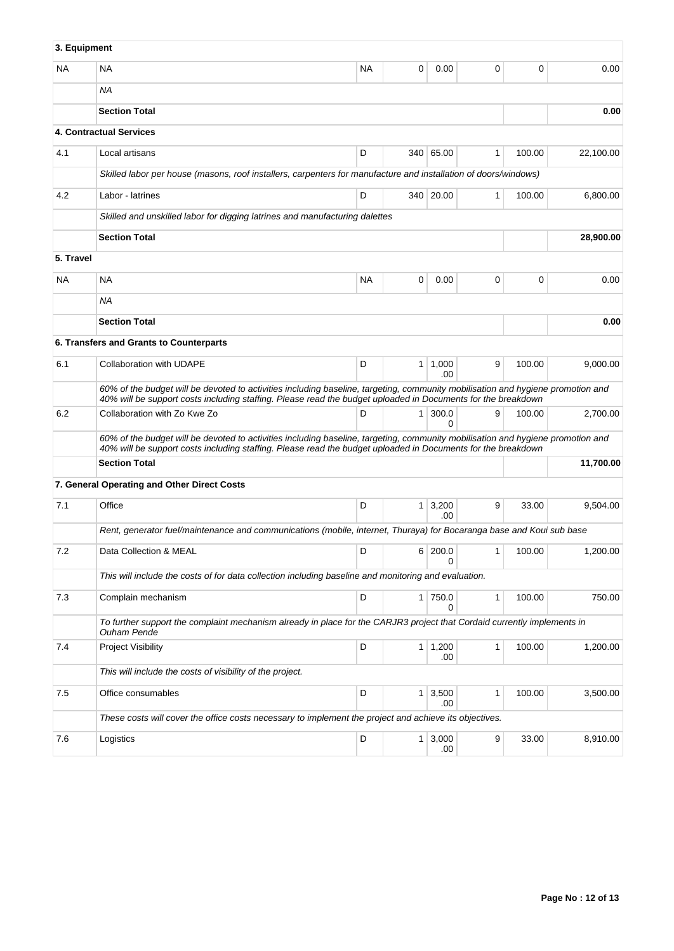| 3. Equipment |                                                                                                                                                                                                                                                 |           |                |                       |              |        |           |
|--------------|-------------------------------------------------------------------------------------------------------------------------------------------------------------------------------------------------------------------------------------------------|-----------|----------------|-----------------------|--------------|--------|-----------|
| NA.          | <b>NA</b>                                                                                                                                                                                                                                       | <b>NA</b> | 0              | 0.00                  | 0            | 0      | 0.00      |
|              | NA                                                                                                                                                                                                                                              |           |                |                       |              |        |           |
|              | <b>Section Total</b>                                                                                                                                                                                                                            |           |                |                       |              |        | 0.00      |
|              | <b>4. Contractual Services</b>                                                                                                                                                                                                                  |           |                |                       |              |        |           |
| 4.1          | Local artisans                                                                                                                                                                                                                                  | D         |                | 340 65.00             | 1            | 100.00 | 22,100.00 |
|              | Skilled labor per house (masons, roof installers, carpenters for manufacture and installation of doors/windows)                                                                                                                                 |           |                |                       |              |        |           |
| 4.2          | Labor - latrines                                                                                                                                                                                                                                | D         |                | 340 20.00             | 1            | 100.00 | 6,800.00  |
|              | Skilled and unskilled labor for digging latrines and manufacturing dalettes                                                                                                                                                                     |           |                |                       |              |        |           |
|              | <b>Section Total</b>                                                                                                                                                                                                                            |           |                |                       |              |        | 28,900.00 |
| 5. Travel    |                                                                                                                                                                                                                                                 |           |                |                       |              |        |           |
| NA           | <b>NA</b>                                                                                                                                                                                                                                       | <b>NA</b> | 0              | 0.00                  | 0            | 0      | 0.00      |
|              | ΝA                                                                                                                                                                                                                                              |           |                |                       |              |        |           |
|              | <b>Section Total</b>                                                                                                                                                                                                                            |           |                |                       |              |        | 0.00      |
|              | 6. Transfers and Grants to Counterparts                                                                                                                                                                                                         |           |                |                       |              |        |           |
| 6.1          | Collaboration with UDAPE                                                                                                                                                                                                                        | D         | 1 <sup>1</sup> | 1,000<br>.00          | 9            | 100.00 | 9,000.00  |
|              | 60% of the budget will be devoted to activities including baseline, targeting, community mobilisation and hygiene promotion and<br>40% will be support costs including staffing. Please read the budget uploaded in Documents for the breakdown |           |                |                       |              |        |           |
| 6.2          | Collaboration with Zo Kwe Zo                                                                                                                                                                                                                    | D         | 1 <sup>1</sup> | 300.0<br>0            | 9            | 100.00 | 2,700.00  |
|              | 60% of the budget will be devoted to activities including baseline, targeting, community mobilisation and hygiene promotion and<br>40% will be support costs including staffing. Please read the budget uploaded in Documents for the breakdown |           |                |                       |              |        |           |
|              | <b>Section Total</b>                                                                                                                                                                                                                            |           |                |                       |              |        | 11,700.00 |
|              | 7. General Operating and Other Direct Costs                                                                                                                                                                                                     |           |                |                       |              |        |           |
| 7.1          | Office                                                                                                                                                                                                                                          | D         |                | $1 \mid 3,200$<br>.00 | 9            | 33.00  | 9,504.00  |
|              | Rent, generator fuel/maintenance and communications (mobile, internet, Thuraya) for Bocaranga base and Koui sub base                                                                                                                            |           |                |                       |              |        |           |
| 7.2          | Data Collection & MEAL                                                                                                                                                                                                                          | D         |                | 6 200.0<br>$\Omega$   | 1            | 100.00 | 1,200.00  |
|              | This will include the costs of for data collection including baseline and monitoring and evaluation.                                                                                                                                            |           |                |                       |              |        |           |
| 7.3          | Complain mechanism                                                                                                                                                                                                                              | D         |                | 1 750.0<br>0          | $\mathbf{1}$ | 100.00 | 750.00    |
|              | To further support the complaint mechanism already in place for the CARJR3 project that Cordaid currently implements in<br><b>Ouham Pende</b>                                                                                                   |           |                |                       |              |        |           |
| 7.4          | Project Visibility                                                                                                                                                                                                                              | D         |                | $1 \mid 1,200$<br>.00 | 1            | 100.00 | 1,200.00  |
|              | This will include the costs of visibility of the project.                                                                                                                                                                                       |           |                |                       |              |        |           |
| 7.5          | Office consumables                                                                                                                                                                                                                              | D         |                | $1 \mid 3,500$<br>.00 | 1            | 100.00 | 3,500.00  |
|              | These costs will cover the office costs necessary to implement the project and achieve its objectives.                                                                                                                                          |           |                |                       |              |        |           |
| 7.6          | Logistics                                                                                                                                                                                                                                       | D         |                | $1 \mid 3,000$<br>.00 | 9            | 33.00  | 8,910.00  |